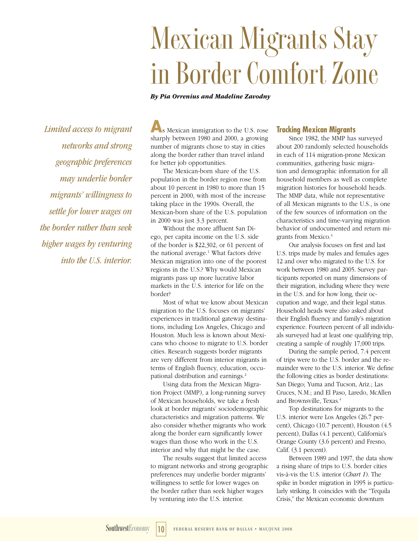# **Mexican Migrants Stay in Border Comfort Zone**

#### *By Pia Orrenius and Madeline Zavodny*

*Limited access to migrant networks and strong geographic preferences may underlie border migrants' willingness to settle for lower wages on the border rather than seek higher wages by venturing into the U.S. interior.*

**A**s Mexican immigration to the U.S. rose sharply between 1980 and 2000, a growing number of migrants chose to stay in cities along the border rather than travel inland for better job opportunities.

The Mexican-born share of the U.S. population in the border region rose from about 10 percent in 1980 to more than 15 percent in 2000, with most of the increase taking place in the 1990s. Overall, the Mexican-born share of the U.S. population in 2000 was just 3.3 percent.

Without the more affluent San Diego, per capita income on the U.S. side of the border is \$22,302, or 61 percent of the national average.<sup>1</sup> What factors drive Mexican migration into one of the poorest regions in the U.S.? Why would Mexican migrants pass up more lucrative labor markets in the U.S. interior for life on the border?

Most of what we know about Mexican migration to the U.S. focuses on migrants' experiences in traditional gateway destinations, including Los Angeles, Chicago and Houston. Much less is known about Mexicans who choose to migrate to U.S. border cities. Research suggests border migrants are very different from interior migrants in terms of English fluency, education, occupational distribution and earnings.<sup>2</sup>

Using data from the Mexican Migration Project (MMP), a long-running survey of Mexican households, we take a fresh look at border migrants' sociodemographic characteristics and migration patterns. We also consider whether migrants who work along the border earn significantly lower wages than those who work in the U.S. interior and why that might be the case.

The results suggest that limited access to migrant networks and strong geographic preferences may underlie border migrants' willingness to settle for lower wages on the border rather than seek higher wages by venturing into the U.S. interior.

#### **Tracking Mexican Migrants**

Since 1982, the MMP has surveyed about 200 randomly selected households in each of 114 migration-prone Mexican communities, gathering basic migration and demographic information for all household members as well as complete migration histories for household heads. The MMP data, while not representative of all Mexican migrants to the U.S., is one of the few sources of information on the characteristics and time-varying migration behavior of undocumented and return migrants from Mexico.3

Our analysis focuses on first and last U.S. trips made by males and females ages 12 and over who migrated to the U.S. for work between 1980 and 2005. Survey participants reported on many dimensions of their migration, including where they were in the U.S. and for how long, their occupation and wage, and their legal status. Household heads were also asked about their English fluency and family's migration experience. Fourteen percent of all individuals surveyed had at least one qualifying trip, creating a sample of roughly 17,000 trips.

During the sample period, 7.4 percent of trips were to the U.S. border and the remainder were to the U.S. interior. We define the following cities as border destinations: San Diego; Yuma and Tucson, Ariz.; Las Cruces, N.M.; and El Paso, Laredo, McAllen and Brownsville, Texas.<sup>4</sup>

Top destinations for migrants to the U.S. interior were Los Angeles (26.7 percent), Chicago (10.7 percent), Houston (4.5 percent), Dallas (4.1 percent), California's Orange County (3.6 percent) and Fresno, Calif. (3.1 percent).

Between 1989 and 1997, the data show a rising share of trips to U.S. border cities vis-à-vis the U.S. interior (*Chart 1*). The spike in border migration in 1995 is particularly striking. It coincides with the "Tequila Crisis," the Mexican economic downturn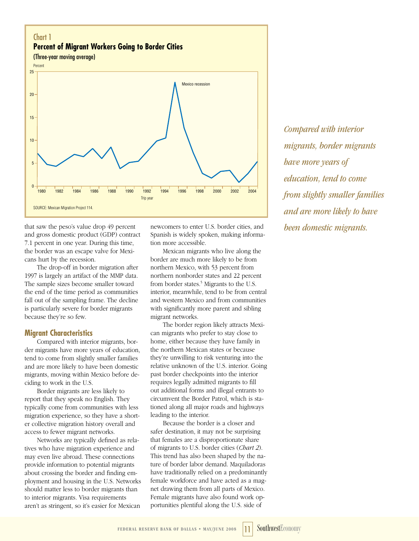

that saw the peso's value drop 49 percent and gross domestic product (GDP) contract 7.1 percent in one year. During this time, the border was an escape valve for Mexicans hurt by the recession.

The drop-off in border migration after 1997 is largely an artifact of the MMP data. The sample sizes become smaller toward the end of the time period as communities fall out of the sampling frame. The decline is particularly severe for border migrants because they're so few.

## **Migrant Characteristics**

Compared with interior migrants, border migrants have more years of education, tend to come from slightly smaller families and are more likely to have been domestic migrants, moving within Mexico before deciding to work in the U.S.

Border migrants are less likely to report that they speak no English. They typically come from communities with less migration experience, so they have a shorter collective migration history overall and access to fewer migrant networks.

Networks are typically defined as relatives who have migration experience and may even live abroad. These connections provide information to potential migrants about crossing the border and finding employment and housing in the U.S. Networks should matter less to border migrants than to interior migrants. Visa requirements aren't as stringent, so it's easier for Mexican

newcomers to enter U.S. border cities, and Spanish is widely spoken, making information more accessible.

Mexican migrants who live along the border are much more likely to be from northern Mexico, with 53 percent from northern nonborder states and 22 percent from border states.<sup>5</sup> Migrants to the U.S. interior, meanwhile, tend to be from central and western Mexico and from communities with significantly more parent and sibling migrant networks.

The border region likely attracts Mexican migrants who prefer to stay close to home, either because they have family in the northern Mexican states or because they're unwilling to risk venturing into the relative unknown of the U.S. interior. Going past border checkpoints into the interior requires legally admitted migrants to fill out additional forms and illegal entrants to circumvent the Border Patrol, which is stationed along all major roads and highways leading to the interior.

Because the border is a closer and safer destination, it may not be surprising that females are a disproportionate share of migrants to U.S. border cities (*Chart 2*). This trend has also been shaped by the nature of border labor demand. Maquiladoras have traditionally relied on a predominantly female workforce and have acted as a magnet drawing them from all parts of Mexico. Female migrants have also found work opportunities plentiful along the U.S. side of

*Compared with interior migrants, border migrants have more years of education, tend to come from slightly smaller families and are more likely to have been domestic migrants.*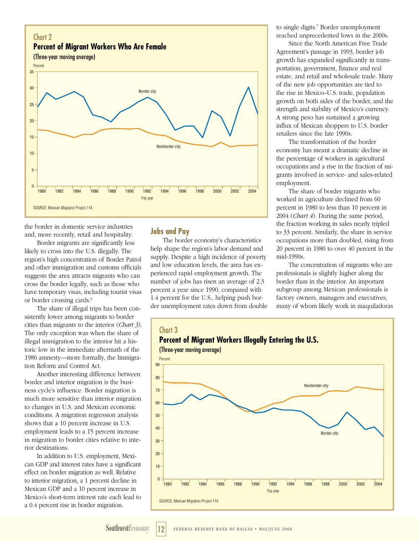

the border in domestic service industries and, more recently, retail and hospitality.

Border migrants are significantly less likely to cross into the U.S. illegally. The region's high concentration of Border Patrol and other immigration and customs officials suggests the area attracts migrants who can cross the border legally, such as those who have temporary visas, including tourist visas or border crossing cards.6

The share of illegal trips has been consistently lower among migrants to border cities than migrants to the interior (*Chart 3*). The only exception was when the share of illegal immigration to the interior hit a historic low in the immediate aftermath of the 1986 amnesty—more formally, the Immigration Reform and Control Act.

Another interesting difference between border and interior migration is the business cycle's influence. Border migration is much more sensitive than interior migration to changes in U.S. and Mexican economic conditions. A migration regression analysis shows that a 10 percent increase in U.S. employment leads to a 15 percent increase in migration to border cities relative to interior destinations.

In addition to U.S. employment, Mexican GDP and interest rates have a significant effect on border migration as well. Relative to interior migration, a 1 percent decline in Mexican GDP and a 10 percent increase in Mexico's short-term interest rate each lead to a 0.4 percent rise in border migration.

## **Jobs and Pay**

The border economy's characteristics help shape the region's labor demand and supply. Despite a high incidence of poverty and low education levels, the area has experienced rapid employment growth. The number of jobs has risen an average of 2.3 percent a year since 1990, compared with 1.4 percent for the U.S., helping push border unemployment rates down from double

to single digits.7 Border unemployment reached unprecedented lows in the 2000s.

Since the North American Free Trade Agreement's passage in 1993, border job growth has expanded significantly in transportation, government, finance and real estate, and retail and wholesale trade. Many of the new job opportunities are tied to the rise in Mexico–U.S. trade, population growth on both sides of the border, and the strength and stability of Mexico's currency. A strong peso has sustained a growing influx of Mexican shoppers to U.S. border retailers since the late 1990s.

The transformation of the border economy has meant a dramatic decline in the percentage of workers in agricultural occupations and a rise in the fraction of migrants involved in service- and sales-related employment.

The share of border migrants who worked in agriculture declined from 60 percent in 1980 to less than 10 percent in 2004 (*Chart 4*). During the same period, the fraction working in sales nearly tripled to 33 percent. Similarly, the share in service occupations more than doubled, rising from 20 percent in 1980 to over 40 percent in the mid-1990s.

The concentration of migrants who are professionals is slightly higher along the border than in the interior. An important subgroup among Mexican professionals is factory owners, managers and executives, many of whom likely work in maquiladoras